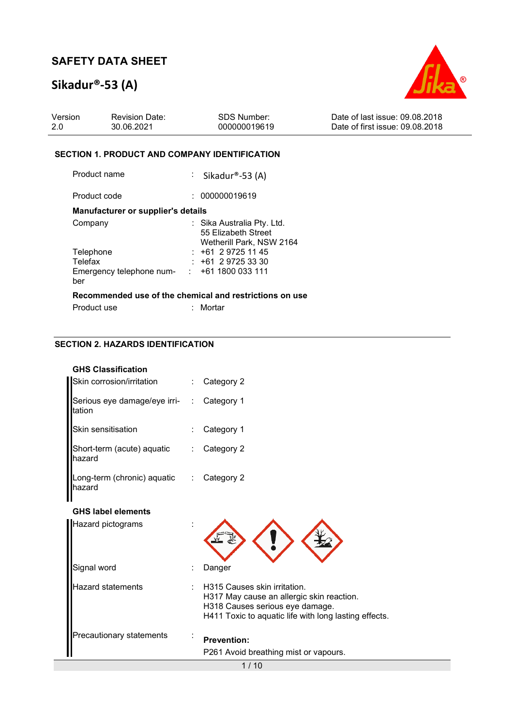## **Sikadur®-53 (A)**



| Version | <b>Revision Date:</b> | .SDS Number: | Date of last issue: 09.08.2018  |
|---------|-----------------------|--------------|---------------------------------|
| -2.0    | 30.06.2021            | 000000019619 | Date of first issue: 09.08.2018 |

#### **SECTION 1. PRODUCT AND COMPANY IDENTIFICATION**

Product name : Sikadur®-53 (A)

Product code : 000000019619 **Manufacturer or supplier's details**  Company : Sika Australia Pty. Ltd.

| $\sim$ -----                                            | $\ldots$ only $\ldots$ abulance $\ldots$ is $\ldots$ |
|---------------------------------------------------------|------------------------------------------------------|
|                                                         | 55 Elizabeth Street                                  |
|                                                         | Wetherill Park, NSW 2164                             |
| Telephone                                               | $: +61297251145$                                     |
| Telefax                                                 | $: +61297253330$                                     |
| Emergency telephone num-                                | : 1611800033111                                      |
| ber                                                     |                                                      |
| Recommended use of the chemical and restrictions on use |                                                      |
|                                                         |                                                      |

| Product use | Mortar |
|-------------|--------|
|             |        |

#### **SECTION 2. HAZARDS IDENTIFICATION**

**GHS Classification** 

| Skin corrosion/irritation              | : Category 2            |
|----------------------------------------|-------------------------|
| Serious eye damage/eye irri-<br>tation | : Category 1            |
| <b>Skin sensitisation</b>              | $:$ Category 1          |
| Short-term (acute) aquatic<br>hazard   | $\therefore$ Category 2 |
| Long-term (chronic) aquatic<br>azard   | $\therefore$ Category 2 |

#### **GHS label elements**

Ш

| Hazard pictograms        |                                                                                                                                                                         |
|--------------------------|-------------------------------------------------------------------------------------------------------------------------------------------------------------------------|
| Signal word              | Danger                                                                                                                                                                  |
| <b>Hazard statements</b> | : H315 Causes skin irritation.<br>H317 May cause an allergic skin reaction.<br>H318 Causes serious eye damage.<br>H411 Toxic to aquatic life with long lasting effects. |
| Precautionary statements | <b>Prevention:</b>                                                                                                                                                      |
|                          | P261 Avoid breathing mist or vapours.                                                                                                                                   |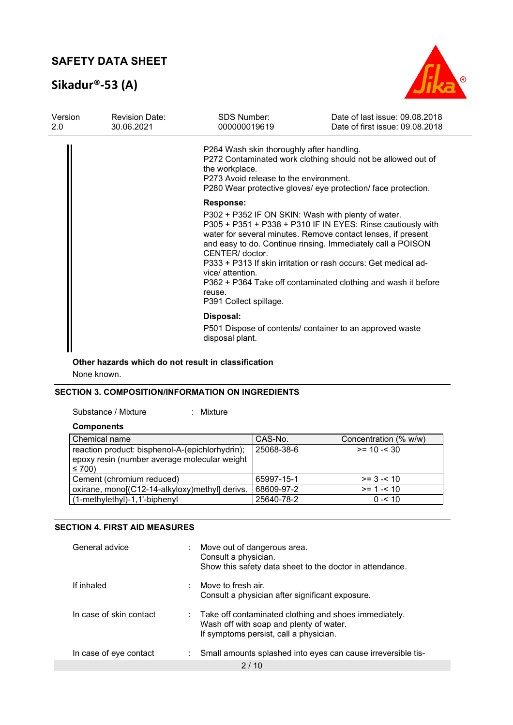# **Sikadur®-53 (A)**



| Version<br>2.0 | <b>Revision Date:</b><br>30.06.2021 | <b>SDS Number:</b><br>000000019619                                                                    | Date of last issue: 09.08.2018<br>Date of first issue: 09.08.2018                                                                                                                                                                                                                                                                                                                   |  |  |
|----------------|-------------------------------------|-------------------------------------------------------------------------------------------------------|-------------------------------------------------------------------------------------------------------------------------------------------------------------------------------------------------------------------------------------------------------------------------------------------------------------------------------------------------------------------------------------|--|--|
|                |                                     | P264 Wash skin thoroughly after handling.<br>the workplace.<br>P273 Avoid release to the environment. | P272 Contaminated work clothing should not be allowed out of<br>P280 Wear protective gloves/ eye protection/ face protection.                                                                                                                                                                                                                                                       |  |  |
|                |                                     | <b>Response:</b><br>CENTER/ doctor.<br>vice/ attention.<br>reuse.<br>P391 Collect spillage.           | P302 + P352 IF ON SKIN: Wash with plenty of water.<br>P305 + P351 + P338 + P310 IF IN EYES: Rinse cautiously with<br>water for several minutes. Remove contact lenses, if present<br>and easy to do. Continue rinsing. Immediately call a POISON<br>P333 + P313 If skin irritation or rash occurs: Get medical ad-<br>P362 + P364 Take off contaminated clothing and wash it before |  |  |
|                |                                     | Disposal:<br>disposal plant.                                                                          | P501 Dispose of contents/ container to an approved waste                                                                                                                                                                                                                                                                                                                            |  |  |

**Other hazards which do not result in classification**

None known.

### **SECTION 3. COMPOSITION/INFORMATION ON INGREDIENTS**

| Substance / Mixture | Mixture |
|---------------------|---------|
|                     |         |

**Components** 

| Chemical name                                   | CAS-No.    | Concentration (% w/w) |
|-------------------------------------------------|------------|-----------------------|
| reaction product: bisphenol-A-(epichlorhydrin); | 25068-38-6 | $>= 10 - 30$          |
| epoxy resin (number average molecular weight    |            |                       |
| $\leq 700$                                      |            |                       |
| Cement (chromium reduced)                       | 65997-15-1 | $>= 3 - 10$           |
| oxirane, mono[(C12-14-alkyloxy)methyl] derivs.  | 68609-97-2 | $>= 1 - 10$           |
| (1-methylethyl)-1,1'-biphenyl                   | 25640-78-2 | $0 - 10$              |

#### **SECTION 4. FIRST AID MEASURES**

| General advice              | Move out of dangerous area.<br>Consult a physician.<br>Show this safety data sheet to the doctor in attendance.                                         |  |  |
|-----------------------------|---------------------------------------------------------------------------------------------------------------------------------------------------------|--|--|
| If inhaled                  | Move to fresh air.<br>Consult a physician after significant exposure.                                                                                   |  |  |
| In case of skin contact     | $\therefore$ Take off contaminated clothing and shoes immediately.<br>Wash off with soap and plenty of water.<br>If symptoms persist, call a physician. |  |  |
| In case of eye contact<br>÷ | Small amounts splashed into eyes can cause irreversible tis-                                                                                            |  |  |
| 2 / 10                      |                                                                                                                                                         |  |  |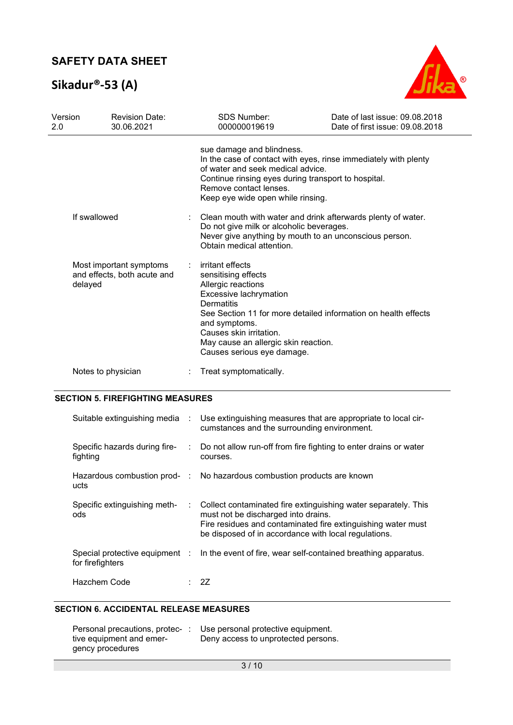# **Sikadur®-53 (A)**



| Version<br>2.0 | <b>Revision Date:</b><br>30.06.2021                               | <b>SDS Number:</b><br>000000019619                                                                                                                                                                                                                                                               | Date of last issue: 09.08.2018<br>Date of first issue: 09.08.2018 |
|----------------|-------------------------------------------------------------------|--------------------------------------------------------------------------------------------------------------------------------------------------------------------------------------------------------------------------------------------------------------------------------------------------|-------------------------------------------------------------------|
|                |                                                                   | sue damage and blindness.<br>In the case of contact with eyes, rinse immediately with plenty<br>of water and seek medical advice.<br>Continue rinsing eyes during transport to hospital.<br>Remove contact lenses.<br>Keep eye wide open while rinsing.                                          |                                                                   |
|                | If swallowed                                                      | Clean mouth with water and drink afterwards plenty of water.<br>Do not give milk or alcoholic beverages.<br>Never give anything by mouth to an unconscious person.<br>Obtain medical attention.                                                                                                  |                                                                   |
|                | Most important symptoms<br>and effects, both acute and<br>delayed | irritant effects<br>sensitising effects<br>Allergic reactions<br>Excessive lachrymation<br><b>Dermatitis</b><br>See Section 11 for more detailed information on health effects<br>and symptoms.<br>Causes skin irritation.<br>May cause an allergic skin reaction.<br>Causes serious eye damage. |                                                                   |
|                | Notes to physician                                                | Treat symptomatically.                                                                                                                                                                                                                                                                           |                                                                   |

#### **SECTION 5. FIREFIGHTING MEASURES**

| Suitable extinguishing media :                     |                | Use extinguishing measures that are appropriate to local cir-<br>cumstances and the surrounding environment.                                                                                                                  |
|----------------------------------------------------|----------------|-------------------------------------------------------------------------------------------------------------------------------------------------------------------------------------------------------------------------------|
| Specific hazards during fire-<br>fighting          | $\sim 10^{-1}$ | Do not allow run-off from fire fighting to enter drains or water<br>courses.                                                                                                                                                  |
| ucts                                               |                | Hazardous combustion prod- : No hazardous combustion products are known                                                                                                                                                       |
| Specific extinguishing meth-<br>ods                | $\mathcal{L}$  | Collect contaminated fire extinguishing water separately. This<br>must not be discharged into drains.<br>Fire residues and contaminated fire extinguishing water must<br>be disposed of in accordance with local regulations. |
| Special protective equipment :<br>for firefighters |                | In the event of fire, wear self-contained breathing apparatus.                                                                                                                                                                |
| Hazchem Code                                       |                | - 27                                                                                                                                                                                                                          |

#### **SECTION 6. ACCIDENTAL RELEASE MEASURES**

| Personal precautions, protec- | Use personal protective equipment.  |
|-------------------------------|-------------------------------------|
| tive equipment and emer-      | Deny access to unprotected persons. |
| gency procedures              |                                     |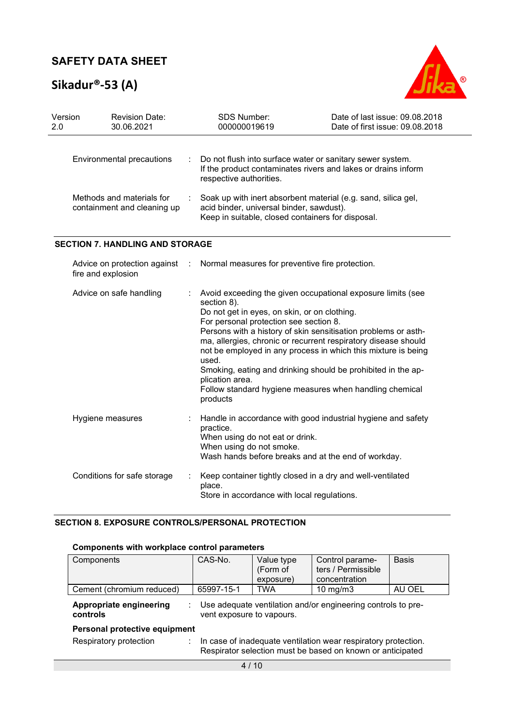# **Sikadur®-53 (A)**



| Version<br>2.0 | <b>Revision Date:</b><br>30.06.2021                      |   | <b>SDS Number:</b><br>000000019619                                                                                                                             | Date of last issue: 09.08.2018<br>Date of first issue: 09.08.2018                                                                                                                                                                                                                                                                                                                           |  |
|----------------|----------------------------------------------------------|---|----------------------------------------------------------------------------------------------------------------------------------------------------------------|---------------------------------------------------------------------------------------------------------------------------------------------------------------------------------------------------------------------------------------------------------------------------------------------------------------------------------------------------------------------------------------------|--|
|                | Environmental precautions                                | ÷ | respective authorities.                                                                                                                                        | Do not flush into surface water or sanitary sewer system.<br>If the product contaminates rivers and lakes or drains inform                                                                                                                                                                                                                                                                  |  |
|                | Methods and materials for<br>containment and cleaning up |   | Soak up with inert absorbent material (e.g. sand, silica gel,<br>acid binder, universal binder, sawdust).<br>Keep in suitable, closed containers for disposal. |                                                                                                                                                                                                                                                                                                                                                                                             |  |
|                | <b>SECTION 7. HANDLING AND STORAGE</b>                   |   |                                                                                                                                                                |                                                                                                                                                                                                                                                                                                                                                                                             |  |
|                | Advice on protection against<br>fire and explosion       | ÷ | Normal measures for preventive fire protection.                                                                                                                |                                                                                                                                                                                                                                                                                                                                                                                             |  |
|                | Advice on safe handling                                  |   | section 8).<br>Do not get in eyes, on skin, or on clothing.<br>For personal protection see section 8.<br>used.<br>plication area.<br>products                  | Avoid exceeding the given occupational exposure limits (see<br>Persons with a history of skin sensitisation problems or asth-<br>ma, allergies, chronic or recurrent respiratory disease should<br>not be employed in any process in which this mixture is being<br>Smoking, eating and drinking should be prohibited in the ap-<br>Follow standard hygiene measures when handling chemical |  |
|                | Hygiene measures                                         |   | practice.<br>When using do not eat or drink.<br>When using do not smoke.<br>Wash hands before breaks and at the end of workday.                                | Handle in accordance with good industrial hygiene and safety                                                                                                                                                                                                                                                                                                                                |  |
|                | Conditions for safe storage                              |   | place.<br>Store in accordance with local regulations.                                                                                                          | Keep container tightly closed in a dry and well-ventilated                                                                                                                                                                                                                                                                                                                                  |  |

#### **SECTION 8. EXPOSURE CONTROLS/PERSONAL PROTECTION**

#### **Components with workplace control parameters**

| Components                                                                                                                       | CAS-No.                                                                                                                      | Value type | Control parame-    | <b>Basis</b> |  |  |
|----------------------------------------------------------------------------------------------------------------------------------|------------------------------------------------------------------------------------------------------------------------------|------------|--------------------|--------------|--|--|
|                                                                                                                                  |                                                                                                                              | (Form of   | ters / Permissible |              |  |  |
|                                                                                                                                  |                                                                                                                              | exposure)  | concentration      |              |  |  |
| Cement (chromium reduced)                                                                                                        | 65997-15-1                                                                                                                   | <b>TWA</b> | 10 mg/m $3$        | AU OEL       |  |  |
| Use adequate ventilation and/or engineering controls to pre-<br>Appropriate engineering<br>controls<br>vent exposure to vapours. |                                                                                                                              |            |                    |              |  |  |
| Personal protective equipment                                                                                                    |                                                                                                                              |            |                    |              |  |  |
| Respiratory protection                                                                                                           | In case of inadequate ventilation wear respiratory protection.<br>Respirator selection must be based on known or anticipated |            |                    |              |  |  |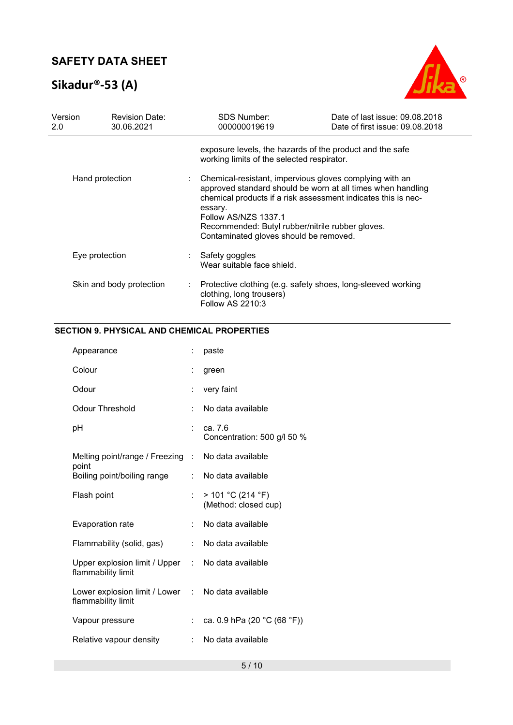# **Sikadur®-53 (A)**



| Version<br>2.0  |                | <b>Revision Date:</b><br>30.06.2021 | <b>SDS Number:</b><br>000000019619                                                                                                                                                                                                                                                                                       | Date of last issue: 09.08.2018<br>Date of first issue: 09.08.2018 |
|-----------------|----------------|-------------------------------------|--------------------------------------------------------------------------------------------------------------------------------------------------------------------------------------------------------------------------------------------------------------------------------------------------------------------------|-------------------------------------------------------------------|
|                 |                |                                     | exposure levels, the hazards of the product and the safe<br>working limits of the selected respirator.                                                                                                                                                                                                                   |                                                                   |
| Hand protection |                |                                     | Chemical-resistant, impervious gloves complying with an<br>approved standard should be worn at all times when handling<br>chemical products if a risk assessment indicates this is nec-<br>essary.<br>Follow AS/NZS 1337.1<br>Recommended: Butyl rubber/nitrile rubber gloves.<br>Contaminated gloves should be removed. |                                                                   |
|                 | Eye protection |                                     | Safety goggles<br>Wear suitable face shield.                                                                                                                                                                                                                                                                             |                                                                   |
|                 |                | Skin and body protection            | Protective clothing (e.g. safety shoes, long-sleeved working<br>clothing, long trousers)<br>Follow AS 2210:3                                                                                                                                                                                                             |                                                                   |

### **SECTION 9. PHYSICAL AND CHEMICAL PROPERTIES**

| Appearance                                                              |    | paste                                     |
|-------------------------------------------------------------------------|----|-------------------------------------------|
| Colour                                                                  |    | green                                     |
| Odour                                                                   | ÷. | very faint                                |
| <b>Odour Threshold</b>                                                  |    | No data available                         |
| рH                                                                      |    | ca. 7.6<br>Concentration: 500 g/l 50 %    |
| Melting point/range / Freezing : No data available                      |    |                                           |
| point<br>Boiling point/boiling range                                    |    | No data available                         |
| Flash point                                                             | t. | > 101 °C (214 °F)<br>(Method: closed cup) |
| Evaporation rate                                                        | t. | No data available                         |
| Flammability (solid, gas)                                               | ÷  | No data available                         |
| Upper explosion limit / Upper : No data available<br>flammability limit |    |                                           |
| Lower explosion limit / Lower : No data available<br>flammability limit |    |                                           |
| Vapour pressure                                                         |    | ca. 0.9 hPa (20 °C (68 °F))               |
| Relative vapour density                                                 |    | No data available                         |
|                                                                         |    |                                           |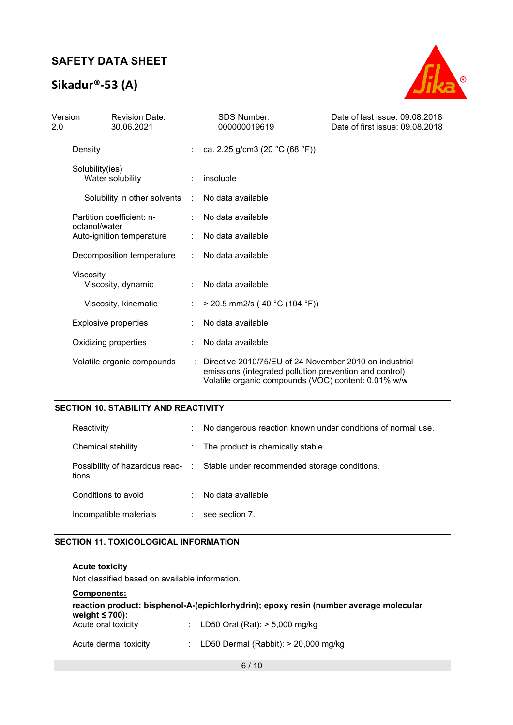# **Sikadur®-53 (A)**



| Version<br>2.0 |                 | <b>Revision Date:</b><br>30.06.2021 |   | <b>SDS Number:</b><br>000000019619                                                                                                                                       | Date of last issue: 09.08.2018<br>Date of first issue: 09.08.2018 |
|----------------|-----------------|-------------------------------------|---|--------------------------------------------------------------------------------------------------------------------------------------------------------------------------|-------------------------------------------------------------------|
|                | Density         |                                     |   | ca. 2.25 g/cm3 (20 °C (68 °F))                                                                                                                                           |                                                                   |
|                | Solubility(ies) | Water solubility                    |   | insoluble                                                                                                                                                                |                                                                   |
|                |                 | Solubility in other solvents        | ÷ | No data available                                                                                                                                                        |                                                                   |
|                |                 | Partition coefficient: n-           |   | No data available                                                                                                                                                        |                                                                   |
|                | octanol/water   | Auto-ignition temperature           |   | No data available                                                                                                                                                        |                                                                   |
|                |                 | Decomposition temperature           |   | No data available                                                                                                                                                        |                                                                   |
|                | Viscosity       | Viscosity, dynamic                  |   | No data available                                                                                                                                                        |                                                                   |
|                |                 | Viscosity, kinematic                |   | $>$ 20.5 mm2/s (40 °C (104 °F))                                                                                                                                          |                                                                   |
|                |                 | <b>Explosive properties</b>         |   | No data available                                                                                                                                                        |                                                                   |
|                |                 | Oxidizing properties                |   | No data available                                                                                                                                                        |                                                                   |
|                |                 | Volatile organic compounds          |   | Directive 2010/75/EU of 24 November 2010 on industrial<br>emissions (integrated pollution prevention and control)<br>Volatile organic compounds (VOC) content: 0.01% w/w |                                                                   |

### **SECTION 10. STABILITY AND REACTIVITY**

| Reactivity             | No dangerous reaction known under conditions of normal use.                   |
|------------------------|-------------------------------------------------------------------------------|
| Chemical stability     | : The product is chemically stable.                                           |
| tions                  | Possibility of hazardous reac- : Stable under recommended storage conditions. |
| Conditions to avoid    | $:$ No data available                                                         |
| Incompatible materials | see section 7.                                                                |

#### **SECTION 11. TOXICOLOGICAL INFORMATION**

**Acute toxicity** 

Not classified based on available information.

| <b>Components:</b>                                                                                            |  |                                          |  |  |  |
|---------------------------------------------------------------------------------------------------------------|--|------------------------------------------|--|--|--|
| reaction product: bisphenol-A-(epichlorhydrin); epoxy resin (number average molecular<br>weight $\leq 700$ ): |  |                                          |  |  |  |
| Acute oral toxicity                                                                                           |  | : LD50 Oral (Rat): $> 5,000$ mg/kg       |  |  |  |
| Acute dermal toxicity                                                                                         |  | : LD50 Dermal (Rabbit): $> 20,000$ mg/kg |  |  |  |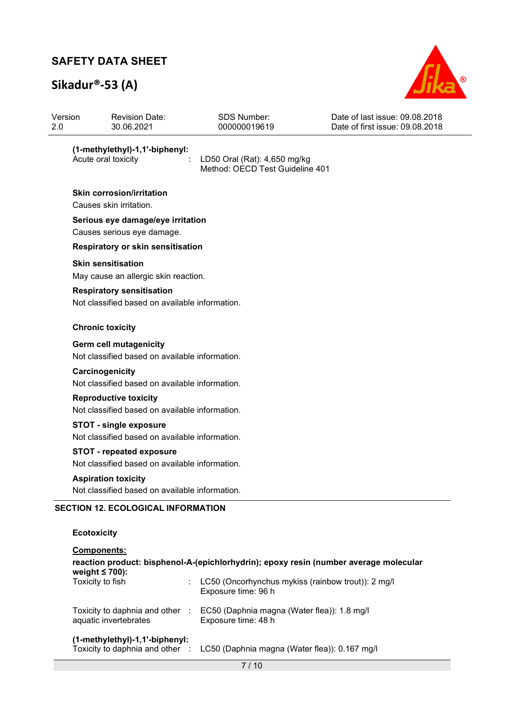# **Sikadur®-53 (A)**



| Version<br>2.0                                              | <b>Revision Date:</b><br>30.06.2021                                                | <b>SDS Number:</b><br>000000019619                                                                                                                                 | Date of last issue: 09.08.2018<br>Date of first issue: 09.08.2018 |
|-------------------------------------------------------------|------------------------------------------------------------------------------------|--------------------------------------------------------------------------------------------------------------------------------------------------------------------|-------------------------------------------------------------------|
| Acute oral toxicity                                         | (1-methylethyl)-1,1'-biphenyl:                                                     | LD50 Oral (Rat): 4,650 mg/kg<br>Method: OECD Test Guideline 401                                                                                                    |                                                                   |
| <b>Skin corrosion/irritation</b><br>Causes skin irritation. |                                                                                    |                                                                                                                                                                    |                                                                   |
|                                                             | Serious eye damage/eye irritation<br>Causes serious eye damage.                    |                                                                                                                                                                    |                                                                   |
|                                                             | Respiratory or skin sensitisation                                                  |                                                                                                                                                                    |                                                                   |
| <b>Skin sensitisation</b>                                   | May cause an allergic skin reaction.                                               |                                                                                                                                                                    |                                                                   |
|                                                             | <b>Respiratory sensitisation</b><br>Not classified based on available information. |                                                                                                                                                                    |                                                                   |
| <b>Chronic toxicity</b>                                     |                                                                                    |                                                                                                                                                                    |                                                                   |
| <b>Germ cell mutagenicity</b>                               | Not classified based on available information.                                     |                                                                                                                                                                    |                                                                   |
| Carcinogenicity                                             | Not classified based on available information.                                     |                                                                                                                                                                    |                                                                   |
| <b>Reproductive toxicity</b>                                | Not classified based on available information.                                     |                                                                                                                                                                    |                                                                   |
| <b>STOT - single exposure</b>                               | Not classified based on available information.                                     |                                                                                                                                                                    |                                                                   |
|                                                             | <b>STOT - repeated exposure</b><br>Not classified based on available information.  |                                                                                                                                                                    |                                                                   |
| <b>Aspiration toxicity</b>                                  | Not classified based on available information.                                     |                                                                                                                                                                    |                                                                   |
|                                                             | <b>SECTION 12. ECOLOGICAL INFORMATION</b>                                          |                                                                                                                                                                    |                                                                   |
| <b>Ecotoxicity</b>                                          |                                                                                    |                                                                                                                                                                    |                                                                   |
| Components:                                                 |                                                                                    |                                                                                                                                                                    |                                                                   |
| weight $\leq 700$ ):<br>Toxicity to fish                    |                                                                                    | reaction product: bisphenol-A-(epichlorhydrin); epoxy resin (number average molecular<br>LC50 (Oncorhynchus mykiss (rainbow trout)): 2 mg/l<br>Exposure time: 96 h |                                                                   |

Toxicity to daphnia and other : EC50 (Daphnia magna (Water flea)): 1.8 mg/l

Toxicity to daphnia and other : LC50 (Daphnia magna (Water flea)): 0.167 mg/l

Exposure time: 48 h

aquatic invertebrates

**(1-methylethyl)-1,1'-biphenyl:**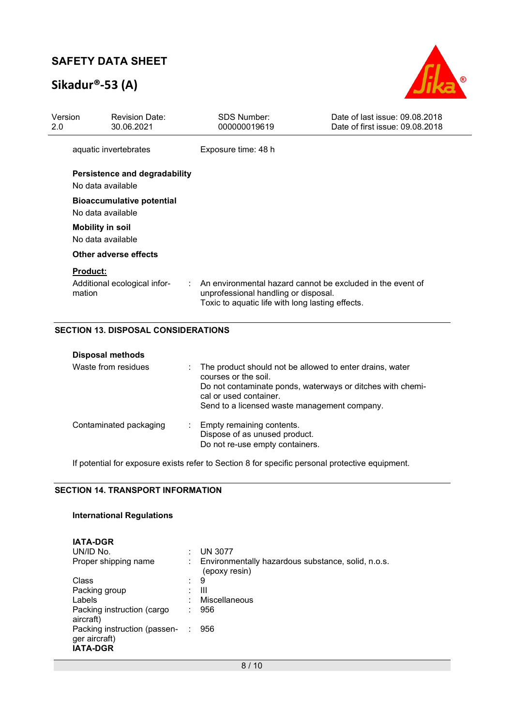# **Sikadur®-53 (A)**



| Version<br>2.0 | <b>Revision Date:</b><br>30.06.2021                       | SDS Number:<br>000000019619                                                                                     | Date of last issue: 09.08.2018<br>Date of first issue: 09.08.2018 |
|----------------|-----------------------------------------------------------|-----------------------------------------------------------------------------------------------------------------|-------------------------------------------------------------------|
|                | aquatic invertebrates                                     | Exposure time: 48 h                                                                                             |                                                                   |
|                | <b>Persistence and degradability</b><br>No data available |                                                                                                                 |                                                                   |
|                | <b>Bioaccumulative potential</b><br>No data available     |                                                                                                                 |                                                                   |
|                | Mobility in soil<br>No data available                     |                                                                                                                 |                                                                   |
|                | Other adverse effects                                     |                                                                                                                 |                                                                   |
|                | <b>Product:</b>                                           |                                                                                                                 |                                                                   |
|                | Additional ecological infor-<br>mation                    | $\sigma_{\rm{eff}}$<br>unprofessional handling or disposal.<br>Toxic to aquatic life with long lasting effects. | An environmental hazard cannot be excluded in the event of        |

#### **SECTION 13. DISPOSAL CONSIDERATIONS**

| <b>Disposal methods</b> |                                                                                                                                                                                                                            |
|-------------------------|----------------------------------------------------------------------------------------------------------------------------------------------------------------------------------------------------------------------------|
| Waste from residues     | : The product should not be allowed to enter drains, water<br>courses or the soil.<br>Do not contaminate ponds, waterways or ditches with chemi-<br>cal or used container.<br>Send to a licensed waste management company. |
| Contaminated packaging  | Empty remaining contents.<br>Dispose of as unused product.<br>Do not re-use empty containers.                                                                                                                              |

If potential for exposure exists refer to Section 8 for specific personal protective equipment.

#### **SECTION 14. TRANSPORT INFORMATION**

#### **International Regulations**

| <b>IATA-DGR</b>                                                  |    |                                                                     |
|------------------------------------------------------------------|----|---------------------------------------------------------------------|
| UN/ID No.                                                        |    | <b>UN 3077</b>                                                      |
| Proper shipping name                                             | ÷. | Environmentally hazardous substance, solid, n.o.s.<br>(epoxy resin) |
| Class                                                            |    | 9                                                                   |
| Packing group                                                    |    | Ш                                                                   |
| Labels                                                           |    | Miscellaneous                                                       |
| Packing instruction (cargo<br>aircraft)                          |    | 956                                                                 |
| Packing instruction (passen-<br>ger aircraft)<br><b>IATA-DGR</b> |    | 956                                                                 |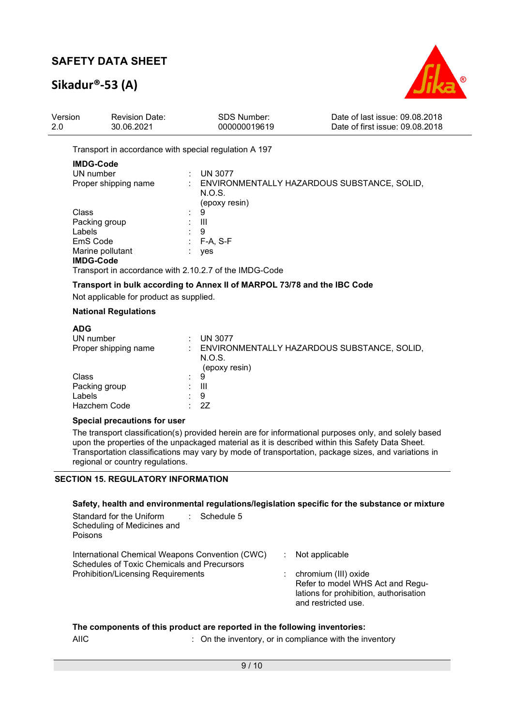## **Sikadur®-53 (A)**



| Version | <b>Revision Date:</b> | SDS Number:  | Date of last issue: 09.08.2018  |
|---------|-----------------------|--------------|---------------------------------|
| 2.0     | 30.06.2021            | 000000019619 | Date of first issue: 09.08.2018 |

Transport in accordance with special regulation A 197

#### **IMDG-Code**

| UN number            | <b>UN 3077</b>                                                         |
|----------------------|------------------------------------------------------------------------|
| Proper shipping name | ENVIRONMENTALLY HAZARDOUS SUBSTANCE, SOLID,<br>N.O.S.<br>(epoxy resin) |
| Class                | 9                                                                      |
| Packing group        | Ш                                                                      |
| Labels               | 9                                                                      |
| EmS Code             | $F-A, S-F$                                                             |
| Marine pollutant     | yes                                                                    |
| <b>IMDG-Code</b>     |                                                                        |
|                      |                                                                        |

Transport in accordance with 2.10.2.7 of the IMDG-Code

**Transport in bulk according to Annex II of MARPOL 73/78 and the IBC Code** 

Not applicable for product as supplied.

#### **National Regulations**

| <b>UN 3077</b>                                                         |
|------------------------------------------------------------------------|
| ENVIRONMENTALLY HAZARDOUS SUBSTANCE, SOLID,<br>N.O.S.<br>(epoxy resin) |
| 9                                                                      |
| Ш                                                                      |
| 9                                                                      |
| 27                                                                     |
|                                                                        |

#### **Special precautions for user**

The transport classification(s) provided herein are for informational purposes only, and solely based upon the properties of the unpackaged material as it is described within this Safety Data Sheet. Transportation classifications may vary by mode of transportation, package sizes, and variations in regional or country regulations.

#### **SECTION 15. REGULATORY INFORMATION**

#### **Safety, health and environmental regulations/legislation specific for the substance or mixture**

| Standard for the Uniform<br>$\therefore$ Schedule 5<br>Scheduling of Medicines and<br>Poisons  |  |                                                                                                                             |
|------------------------------------------------------------------------------------------------|--|-----------------------------------------------------------------------------------------------------------------------------|
| International Chemical Weapons Convention (CWC)<br>Schedules of Toxic Chemicals and Precursors |  | Not applicable                                                                                                              |
| <b>Prohibition/Licensing Requirements</b>                                                      |  | : chromium (III) oxide<br>Refer to model WHS Act and Regu-<br>lations for prohibition, authorisation<br>and restricted use. |

#### **The components of this product are reported in the following inventories:**

AIIC **integral integral integral in the inventory**, or in compliance with the inventory